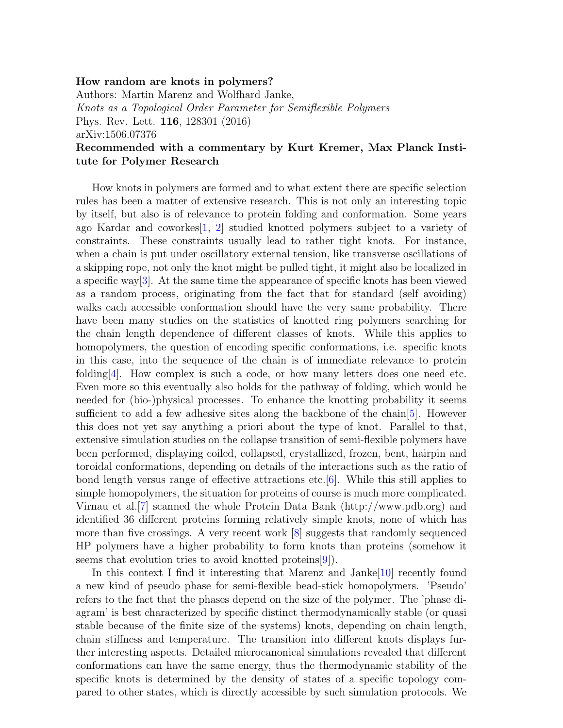## How random are knots in polymers?

Authors: Martin Marenz and Wolfhard Janke, Knots as a Topological Order Parameter for Semiflexible Polymers Phys. Rev. Lett. 116, 128301 (2016) arXiv:1506.07376

## Recommended with a commentary by Kurt Kremer, Max Planck Institute for Polymer Research

How knots in polymers are formed and to what extent there are specific selection rules has been a matter of extensive research. This is not only an interesting topic by itself, but also is of relevance to protein folding and conformation. Some years ago Kardar and coworkes[\[1,](#page-1-0) [2\]](#page-1-1) studied knotted polymers subject to a variety of constraints. These constraints usually lead to rather tight knots. For instance, when a chain is put under oscillatory external tension, like transverse oscillations of a skipping rope, not only the knot might be pulled tight, it might also be localized in a specific way[\[3\]](#page-1-2). At the same time the appearance of specific knots has been viewed as a random process, originating from the fact that for standard (self avoiding) walks each accessible conformation should have the very same probability. There have been many studies on the statistics of knotted ring polymers searching for the chain length dependence of different classes of knots. While this applies to homopolymers, the question of encoding specific conformations, i.e. specific knots in this case, into the sequence of the chain is of immediate relevance to protein folding  $[4]$ . How complex is such a code, or how many letters does one need etc. Even more so this eventually also holds for the pathway of folding, which would be needed for (bio-)physical processes. To enhance the knotting probability it seems sufficient to add a few adhesive sites along the backbone of the chain[\[5\]](#page-1-4). However this does not yet say anything a priori about the type of knot. Parallel to that, extensive simulation studies on the collapse transition of semi-flexible polymers have been performed, displaying coiled, collapsed, crystallized, frozen, bent, hairpin and toroidal conformations, depending on details of the interactions such as the ratio of bond length versus range of effective attractions etc.[\[6\]](#page-1-5). While this still applies to simple homopolymers, the situation for proteins of course is much more complicated. Virnau et al.[\[7\]](#page-1-6) scanned the whole Protein Data Bank (http://www.pdb.org) and identified 36 different proteins forming relatively simple knots, none of which has more than five crossings. A very recent work  $[8]$  suggests that randomly sequenced HP polymers have a higher probability to form knots than proteins (somehow it seems that evolution tries to avoid knotted proteins  $[9]$ .

In this context I find it interesting that Marenz and Janke[\[10\]](#page-1-9) recently found a new kind of pseudo phase for semi-flexible bead-stick homopolymers. 'Pseudo' refers to the fact that the phases depend on the size of the polymer. The 'phase diagram' is best characterized by specific distinct thermodynamically stable (or quasi stable because of the finite size of the systems) knots, depending on chain length, chain stiffness and temperature. The transition into different knots displays further interesting aspects. Detailed microcanonical simulations revealed that different conformations can have the same energy, thus the thermodynamic stability of the specific knots is determined by the density of states of a specific topology compared to other states, which is directly accessible by such simulation protocols. We